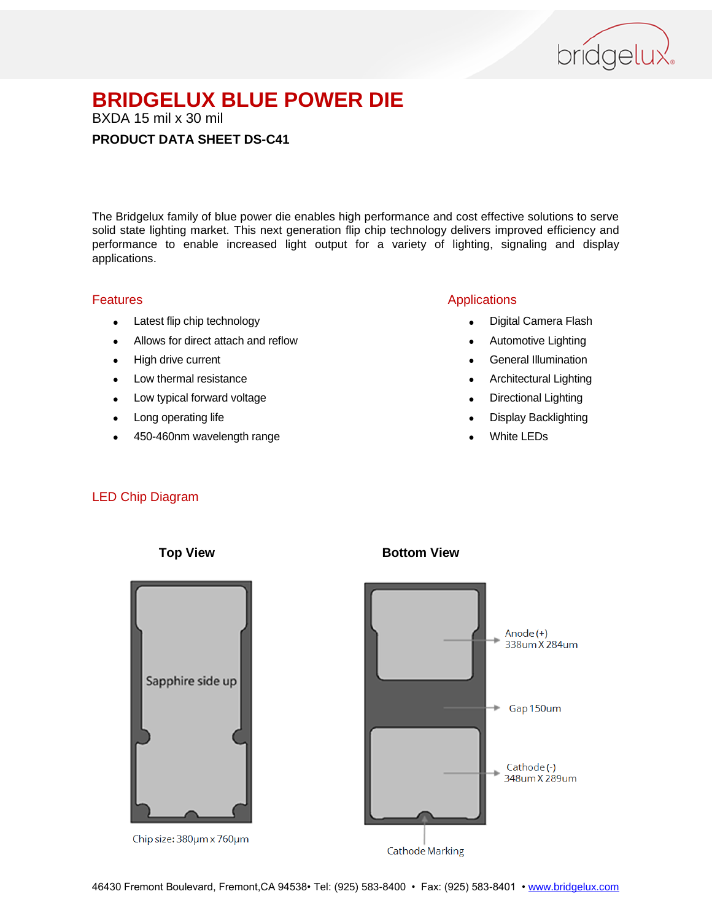

BXDA 15 mil x 30 mil

# **PRODUCT DATA SHEET DS-C41**

The Bridgelux family of blue power die enables high performance and cost effective solutions to serve solid state lighting market. This next generation flip chip technology delivers improved efficiency and performance to enable increased light output for a variety of lighting, signaling and display applications.

## Features

- Latest flip chip technology
- Allows for direct attach and reflow
- High drive current
- Low thermal resistance
- Low typical forward voltage
- Long operating life
- 450-460nm wavelength range

# Applications

- Digital Camera Flash
- Automotive Lighting
- **•** General Illumination
- Architectural Lighting
- Directional Lighting
- Display Backlighting
- White LEDs

## LED Chip Diagram



Chip size: 380um x 760um

## **Top View <b>Bottom View**



Cathode Marking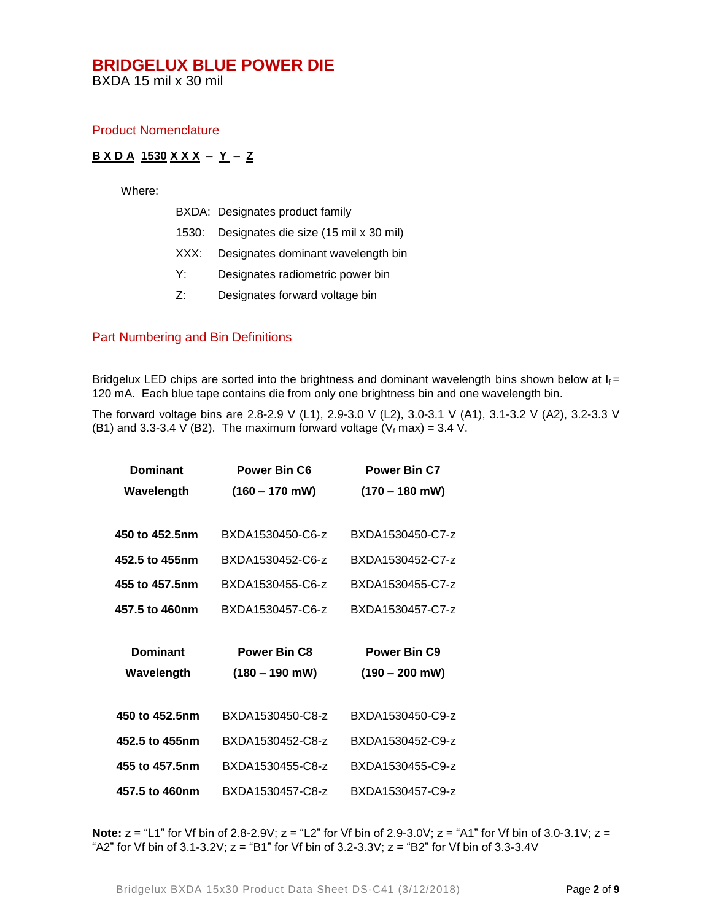BXDA 15 mil x 30 mil

## Product Nomenclature

# **B X D A 1530 X X X – Y – Z**

Where:

|  |  | BXDA: Designates product family |  |
|--|--|---------------------------------|--|
|--|--|---------------------------------|--|

- 1530: Designates die size (15 mil x 30 mil)
- XXX: Designates dominant wavelength bin
- Y: Designates radiometric power bin
- Z: Designates forward voltage bin

## Part Numbering and Bin Definitions

Bridgelux LED chips are sorted into the brightness and dominant wavelength bins shown below at  $I_f =$ 120 mA. Each blue tape contains die from only one brightness bin and one wavelength bin.

The forward voltage bins are 2.8-2.9 V (L1), 2.9-3.0 V (L2), 3.0-3.1 V (A1), 3.1-3.2 V (A2), 3.2-3.3 V (B1) and 3.3-3.4 V (B2). The maximum forward voltage ( $V_f$  max) = 3.4 V.

| <b>Dominant</b> | <b>Power Bin C6</b> | Power Bin C7             |  |
|-----------------|---------------------|--------------------------|--|
| Wavelength      | $(160 - 170$ mW)    | $(170 - 180$ mW)         |  |
|                 |                     |                          |  |
| 450 to 452.5nm  | BXDA1530450-C6-z    | BXDA1530450-C7-z         |  |
| 452.5 to 455nm  | BXDA1530452-C6-z    | BXDA1530452-C7-z         |  |
| 455 to 457.5nm  | BXDA1530455-C6-z    | BXDA1530455-C7-z         |  |
| 457.5 to 460nm  | BXDA1530457-C6-z    | BXDA1530457-C7-z         |  |
|                 |                     |                          |  |
|                 |                     |                          |  |
| <b>Dominant</b> | <b>Power Bin C8</b> | Power Bin C <sub>9</sub> |  |
| Wavelength      | $(180 - 190$ mW)    | $(190 - 200$ mW)         |  |
|                 |                     |                          |  |
| 450 to 452.5nm  | BXDA1530450-C8-z    | BXDA1530450-C9-z         |  |
| 452.5 to 455nm  | BXDA1530452-C8-z    | BXDA1530452-C9-z         |  |
| 455 to 457.5nm  | BXDA1530455-C8-z    | BXDA1530455-C9-z         |  |

**Note:** z = "L1" for Vf bin of 2.8-2.9V; z = "L2" for Vf bin of 2.9-3.0V; z = "A1" for Vf bin of 3.0-3.1V; z = "A2" for Vf bin of  $3.1$ - $3.2$ V; z = "B1" for Vf bin of  $3.2$ - $3.3$ V; z = "B2" for Vf bin of  $3.3$ - $3.4$ V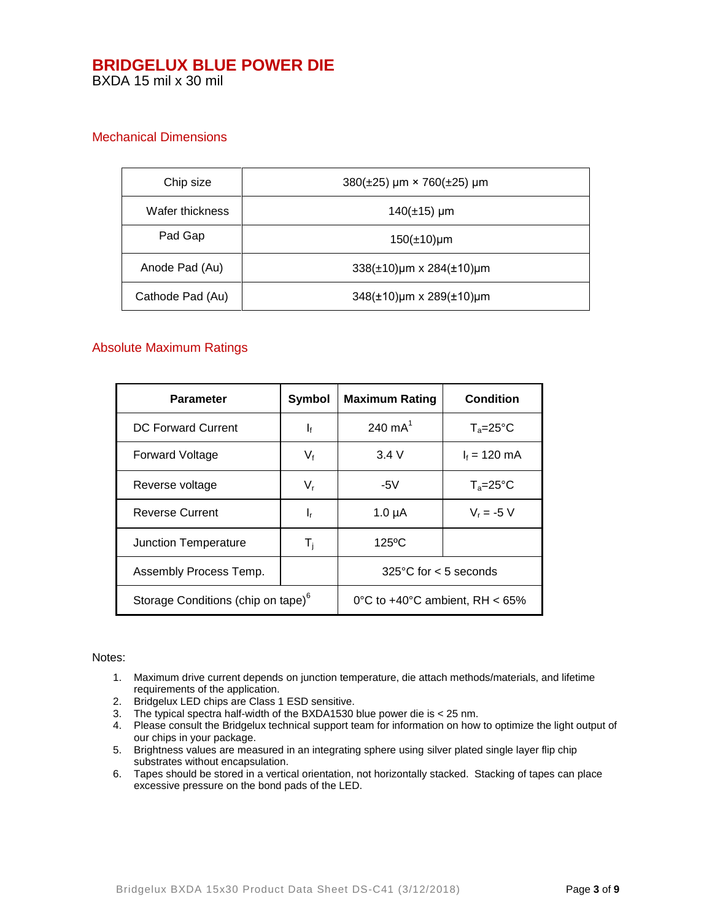BXDA 15 mil x 30 mil

# Mechanical Dimensions

| Chip size        | $380(\pm 25)$ µm × 760( $\pm 25$ ) µm |  |
|------------------|---------------------------------------|--|
| Wafer thickness  | $140(\pm 15)$ µm                      |  |
| Pad Gap          | $150(\pm 10)$ µm                      |  |
| Anode Pad (Au)   | $338(\pm 10)$ µm x 284( $\pm 10$ )µm  |  |
| Cathode Pad (Au) | $348(\pm 10)$ µm x 289( $\pm 10$ )µm  |  |

# Absolute Maximum Ratings

| Parameter                                      | Symbol                    | <b>Maximum Rating</b>                    | <b>Condition</b>    |
|------------------------------------------------|---------------------------|------------------------------------------|---------------------|
| <b>DC Forward Current</b>                      | $\mathbf{I}_{\mathbf{f}}$ | 240 $mA^1$                               | $T_a = 25^{\circ}C$ |
| <b>Forward Voltage</b>                         | $V_{f}$                   | 3.4V                                     | $I_f = 120$ mA      |
| Reverse voltage                                | $V_{r}$                   | -5 $V$                                   | $T_a = 25^{\circ}C$ |
| <b>Reverse Current</b>                         | ı,                        | $1.0 \mu A$                              | $V_r = -5 V$        |
| Junction Temperature                           | T <sub>i</sub>            | $125^{\circ}$ C                          |                     |
| Assembly Process Temp.                         |                           | $325^{\circ}$ C for $< 5$ seconds        |                     |
| Storage Conditions (chip on tape) <sup>6</sup> |                           | 0°C to $+40^{\circ}$ C ambient. RH < 65% |                     |

#### Notes:

- 1. Maximum drive current depends on junction temperature, die attach methods/materials, and lifetime requirements of the application.
- 2. Bridgelux LED chips are Class 1 ESD sensitive.
- 3. The typical spectra half-width of the BXDA1530 blue power die is < 25 nm.
- 4. Please consult the Bridgelux technical support team for information on how to optimize the light output of our chips in your package.
- 5. Brightness values are measured in an integrating sphere using silver plated single layer flip chip substrates without encapsulation.
- 6. Tapes should be stored in a vertical orientation, not horizontally stacked. Stacking of tapes can place excessive pressure on the bond pads of the LED.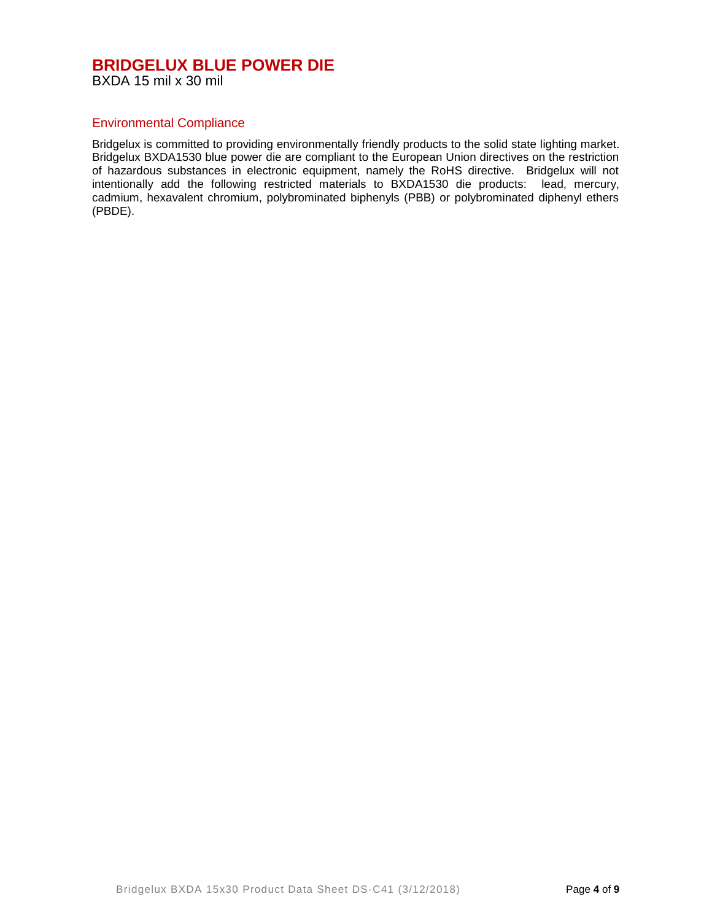BXDA 15 mil x 30 mil

# Environmental Compliance

Bridgelux is committed to providing environmentally friendly products to the solid state lighting market. Bridgelux BXDA1530 blue power die are compliant to the European Union directives on the restriction of hazardous substances in electronic equipment, namely the RoHS directive. Bridgelux will not intentionally add the following restricted materials to BXDA1530 die products: lead, mercury, cadmium, hexavalent chromium, polybrominated biphenyls (PBB) or polybrominated diphenyl ethers (PBDE).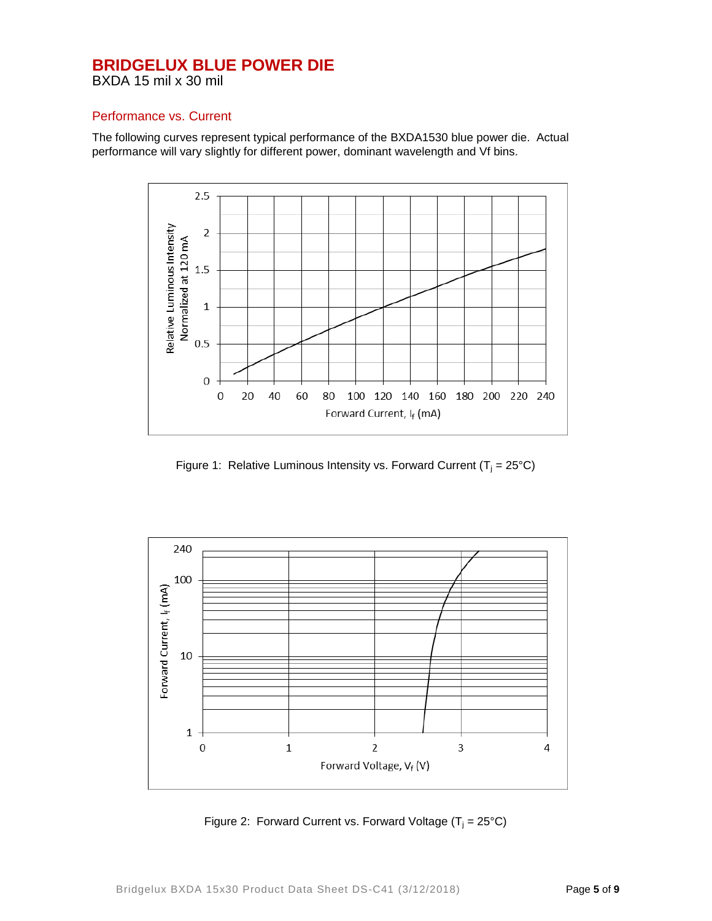BXDA 15 mil x 30 mil

# Performance vs. Current

The following curves represent typical performance of the BXDA1530 blue power die. Actual performance will vary slightly for different power, dominant wavelength and Vf bins.



Figure 1: Relative Luminous Intensity vs. Forward Current ( $T_i = 25^{\circ}C$ )



Figure 2: Forward Current vs. Forward Voltage  $(T_i = 25^{\circ}C)$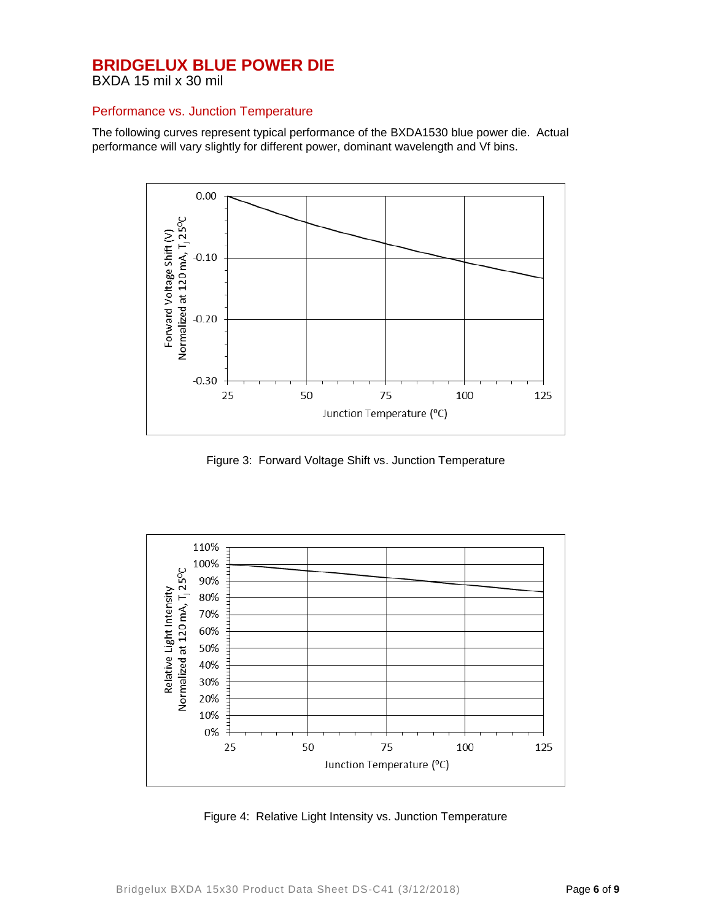BXDA 15 mil x 30 mil

## Performance vs. Junction Temperature

The following curves represent typical performance of the BXDA1530 blue power die. Actual performance will vary slightly for different power, dominant wavelength and Vf bins.



Figure 3: Forward Voltage Shift vs. Junction Temperature



Figure 4: Relative Light Intensity vs. Junction Temperature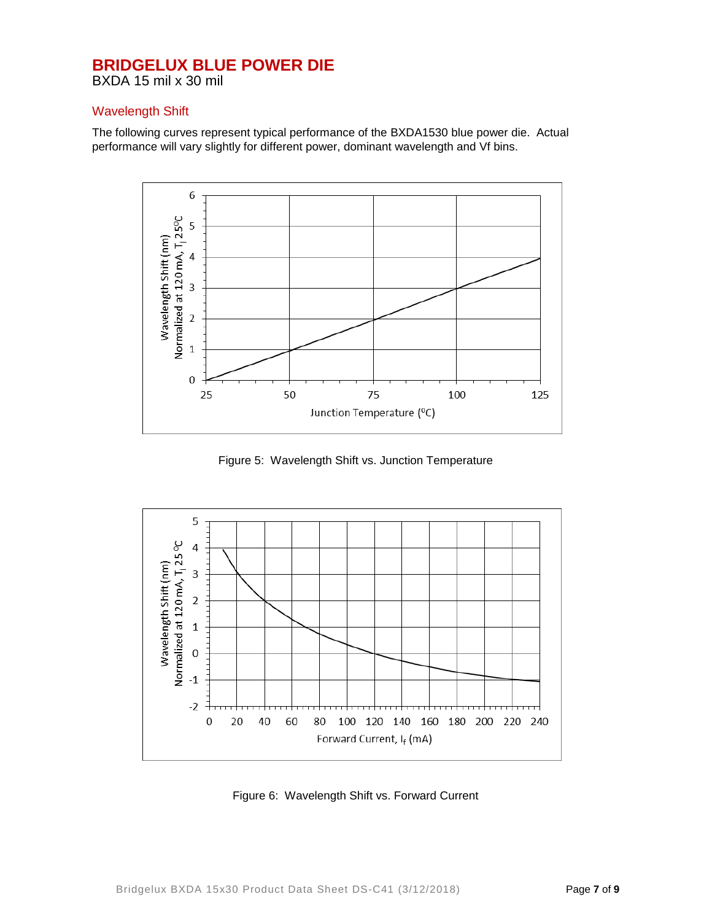BXDA 15 mil x 30 mil

# Wavelength Shift

The following curves represent typical performance of the BXDA1530 blue power die. Actual performance will vary slightly for different power, dominant wavelength and Vf bins.



Figure 5: Wavelength Shift vs. Junction Temperature



Figure 6: Wavelength Shift vs. Forward Current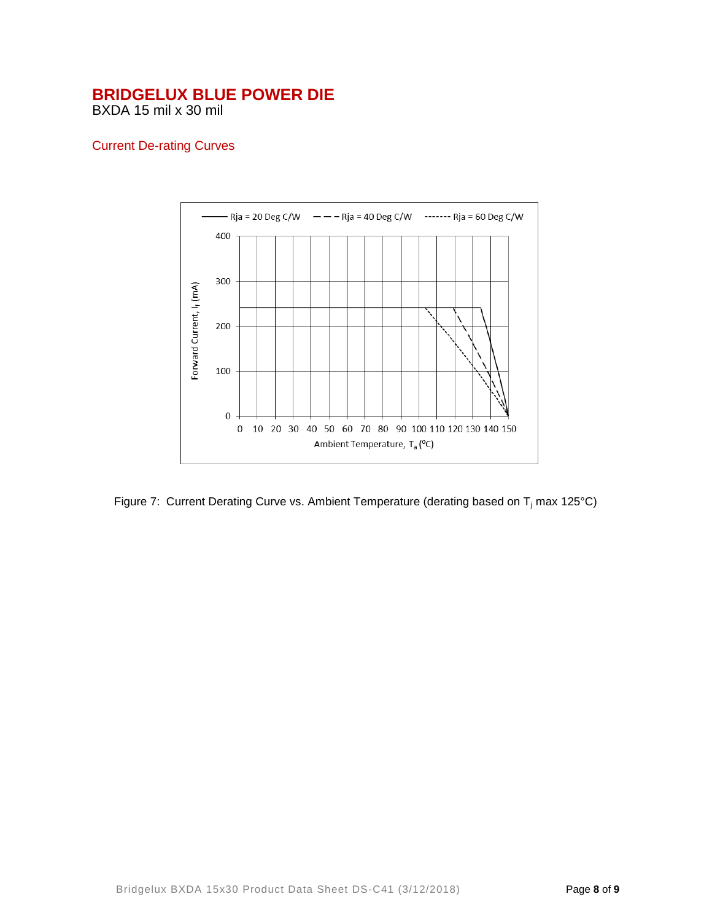BXDA 15 mil x 30 mil

# Current De-rating Curves



Figure 7: Current Derating Curve vs. Ambient Temperature (derating based on  $T_i$  max 125°C)